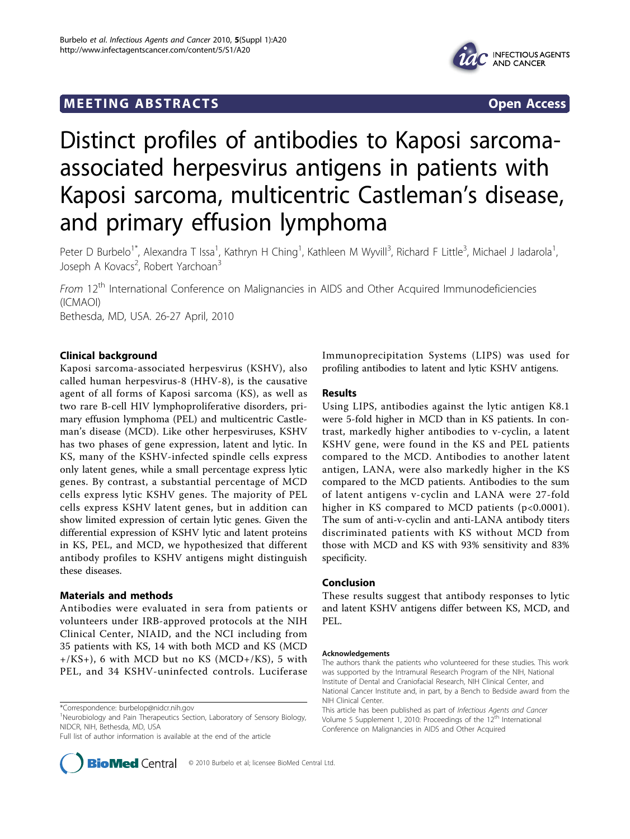# **MEETING ABSTRACTS** THE RESERVING ABSOLUTE A SERVICE SERVICES AND SERVICES OPEN ACCESS



# Distinct profiles of antibodies to Kaposi sarcomaassociated herpesvirus antigens in patients with Kaposi sarcoma, multicentric Castleman's disease, and primary effusion lymphoma

Peter D Burbelo<sup>1\*</sup>, Alexandra T Issa<sup>1</sup>, Kathryn H Ching<sup>1</sup>, Kathleen M Wyvill<sup>3</sup>, Richard F Little<sup>3</sup>, Michael J Iadarola<sup>1</sup> , Joseph A Kovacs<sup>2</sup>, Robert Yarchoan<sup>3</sup>

From 12<sup>th</sup> International Conference on Malignancies in AIDS and Other Acquired Immunodeficiencies (ICMAOI) Bethesda, MD, USA. 26-27 April, 2010

# Clinical background

Kaposi sarcoma-associated herpesvirus (KSHV), also called human herpesvirus-8 (HHV-8), is the causative agent of all forms of Kaposi sarcoma (KS), as well as two rare B-cell HIV lymphoproliferative disorders, primary effusion lymphoma (PEL) and multicentric Castleman's disease (MCD). Like other herpesviruses, KSHV has two phases of gene expression, latent and lytic. In KS, many of the KSHV-infected spindle cells express only latent genes, while a small percentage express lytic genes. By contrast, a substantial percentage of MCD cells express lytic KSHV genes. The majority of PEL cells express KSHV latent genes, but in addition can show limited expression of certain lytic genes. Given the differential expression of KSHV lytic and latent proteins in KS, PEL, and MCD, we hypothesized that different antibody profiles to KSHV antigens might distinguish these diseases.

### Materials and methods

Antibodies were evaluated in sera from patients or volunteers under IRB-approved protocols at the NIH Clinical Center, NIAID, and the NCI including from 35 patients with KS, 14 with both MCD and KS (MCD  $+$ /KS $+$ ), 6 with MCD but no KS (MCD $+$ /KS), 5 with PEL, and 34 KSHV-uninfected controls. Luciferase

Full list of author information is available at the end of the article



Immunoprecipitation Systems (LIPS) was used for profiling antibodies to latent and lytic KSHV antigens.

#### Results

Using LIPS, antibodies against the lytic antigen K8.1 were 5-fold higher in MCD than in KS patients. In contrast, markedly higher antibodies to v-cyclin, a latent KSHV gene, were found in the KS and PEL patients compared to the MCD. Antibodies to another latent antigen, LANA, were also markedly higher in the KS compared to the MCD patients. Antibodies to the sum of latent antigens v-cyclin and LANA were 27-fold higher in KS compared to MCD patients (p<0.0001). The sum of anti-v-cyclin and anti-LANA antibody titers discriminated patients with KS without MCD from those with MCD and KS with 93% sensitivity and 83% specificity.

# Conclusion

These results suggest that antibody responses to lytic and latent KSHV antigens differ between KS, MCD, and PEL.

#### Acknowledgements

<sup>\*</sup>Correspondence: [burbelop@nidcr.nih.gov](mailto:burbelop@nidcr.nih.gov)

<sup>&</sup>lt;sup>1</sup>Neurobiology and Pain Therapeutics Section, Laboratory of Sensory Biology, NIDCR, NIH, Bethesda, MD, USA

The authors thank the patients who volunteered for these studies. This work was supported by the Intramural Research Program of the NIH, National Institute of Dental and Craniofacial Research, NIH Clinical Center, and National Cancer Institute and, in part, by a Bench to Bedside award from the NIH Clinical Center.

This article has been published as part of Infectious Agents and Cancer Volume 5 Supplement 1, 2010: Proceedings of the 12<sup>th</sup> International Conference on Malignancies in AIDS and Other Acquired